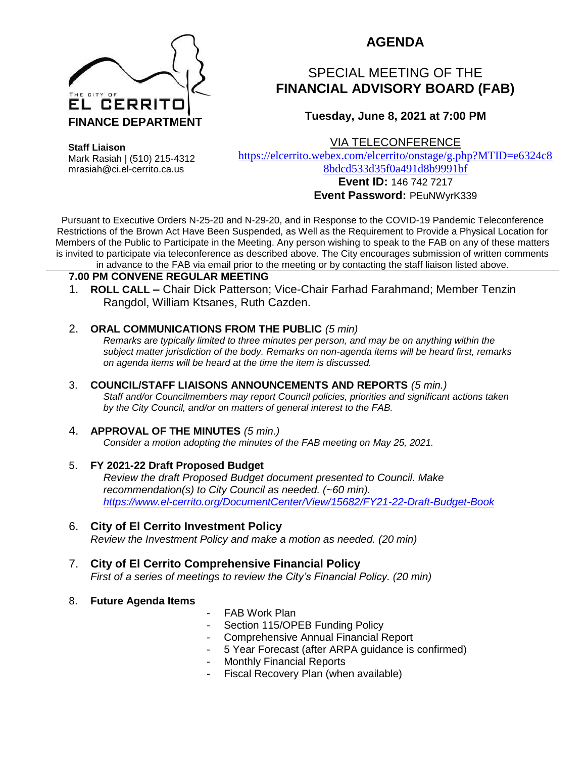

## **AGENDA**

# SPECIAL MEETING OF THE **FINANCIAL ADVISORY BOARD (FAB)**

### **Tuesday, June 8, 2021 at 7:00 PM**

VIA TELECONFERENCE

**Staff Liaison**

Mark Rasiah | (510) 215-4312 mrasiah@ci.el-cerrito.ca.us

[https://elcerrito.webex.com/elcerrito/onstage/g.php?MTID=e6324c8](https://elcerrito.webex.com/elcerrito/onstage/g.php?MTID=e6324c88bdcd533d35f0a491d8b9991bf) [8bdcd533d35f0a491d8b9991bf](https://elcerrito.webex.com/elcerrito/onstage/g.php?MTID=e6324c88bdcd533d35f0a491d8b9991bf)

#### **Event ID:** 146 742 7217 **Event Password:** PEuNWyrK339

Pursuant to Executive Orders N-25-20 and N-29-20, and in Response to the COVID-19 Pandemic Teleconference Restrictions of the Brown Act Have Been Suspended, as Well as the Requirement to Provide a Physical Location for Members of the Public to Participate in the Meeting. Any person wishing to speak to the FAB on any of these matters is invited to participate via teleconference as described above. The City encourages submission of written comments in advance to the FAB via email prior to the meeting or by contacting the staff liaison listed above.

#### **7.00 PM CONVENE REGULAR MEETING**

1. **ROLL CALL –** Chair Dick Patterson; Vice-Chair Farhad Farahmand; Member Tenzin Rangdol, William Ktsanes, Ruth Cazden.

#### 2. **ORAL COMMUNICATIONS FROM THE PUBLIC** *(5 min)*

*Remarks are typically limited to three minutes per person, and may be on anything within the subject matter jurisdiction of the body. Remarks on non-agenda items will be heard first, remarks on agenda items will be heard at the time the item is discussed.* 

#### 3. **COUNCIL/STAFF LIAISONS ANNOUNCEMENTS AND REPORTS** *(5 min.)*

*Staff and/or Councilmembers may report Council policies, priorities and significant actions taken by the City Council, and/or on matters of general interest to the FAB.*

#### 4. **APPROVAL OF THE MINUTES** *(5 min.)*

*Consider a motion adopting the minutes of the FAB meeting on May 25, 2021.*

- 5. **FY 2021-22 Draft Proposed Budget** *Review the draft Proposed Budget document presented to Council. Make recommendation(s) to City Council as needed. (~60 min). <https://www.el-cerrito.org/DocumentCenter/View/15682/FY21-22-Draft-Budget-Book>*
- 6. **City of El Cerrito Investment Policy** *Review the Investment Policy and make a motion as needed. (20 min)*
- 7. **City of El Cerrito Comprehensive Financial Policy** *First of a series of meetings to review the City's Financial Policy. (20 min)*
- 8. **Future Agenda Items**
- FAB Work Plan
- Section 115/OPEB Funding Policy
- Comprehensive Annual Financial Report
- 5 Year Forecast (after ARPA guidance is confirmed)
- Monthly Financial Reports
- Fiscal Recovery Plan (when available)